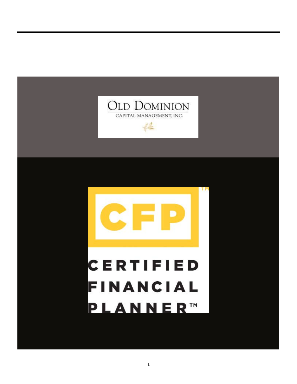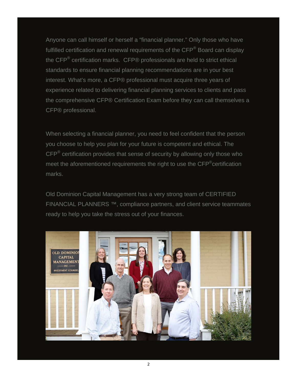Anyone can call himself or herself a "financial planner." Only those who have fulfilled certification and renewal requirements of the CFP<sup>®</sup> Board can display the CFP® certification marks. CFP® professionals are held to strict ethical standards to ensure financial planning recommendations are in your best interest. What's more, a CFP® professional must acquire three years of experience related to delivering financial planning services to clients and pass the comprehensive CFP® Certification Exam before they can call themselves a CFP® professional.

When selecting a financial planner, you need to feel confident that the person you choose to help you plan for your future is competent and ethical. The  $\text{CFP}^{\otimes}$  certification provides that sense of security by allowing only those who meet the aforementioned requirements the right to use the CFP<sup>®</sup>certification marks.

Old Dominion Capital Management has a very strong team of CERTIFIED FINANCIAL PLANNERS ™, compliance partners, and client service teammates ready to help you take the stress out of your finances.